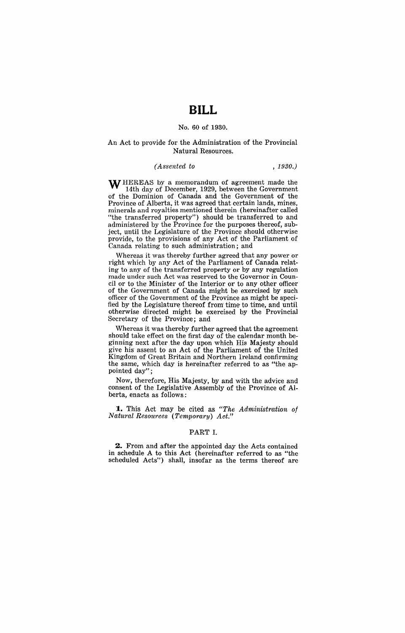# **BILL**

### No. 60 of 1930.

### An Act to provide for the Administration of the Provincial Natural Resources.

#### *(Assented to , 1930.)*

WHEREAS by a memorandum of agreement made the 14th day of December, 1929, between the Government of the Dominion of Canada and the Government of the Province of Alberta, it was agreed that certain lands, mines, minerals and royalties mentioned therein (hereinafter called "the transferred property") should be transferred to and administered by the Province for the purposes thereof, subject, until the Legislature of the Province should otherwise provide, to the provisions of any Act of the Parliament of Canada relating to such administration; and

Whereas it was thereby further agreed that any power or right which by any Act of the Parliament of Canada relating to any of the transferred property or by any regulation made under such Act was reserved to the Governor in Council or to the Minister of the Interior or to any other officer of the Government of Canada might be exercised by such officer of the Government of the Province as might be specified by the Legislature thereof from' time' to time, and until otherwise directed might be exercised by the Provincial Secretary of the Province; and

Whereas it was thereby further agreed that the agreement should take effect on the first day of the calendar month beginning next after the day upon which His Majesty should give his' assent to an Act of the Parliament of the United Kingdom of Great Britain and Northern Ireland confirming the same, which day is hereinafter referred to as "the appointed day";

Now, therefore, His Majesty, by and with the advice and consent of the Legislative Assembly of the Province of Alberta, enacts as follows:

**1.** This Act may be cited as *"The Administration of Natural Resources (Temporary) Act."* 

#### PART I.

**2.** From and after the appointed day the Acts contained in schedule A to this Act (hereinafter referred to as "the scheduled Acts") shall, insofar as the terms thereof are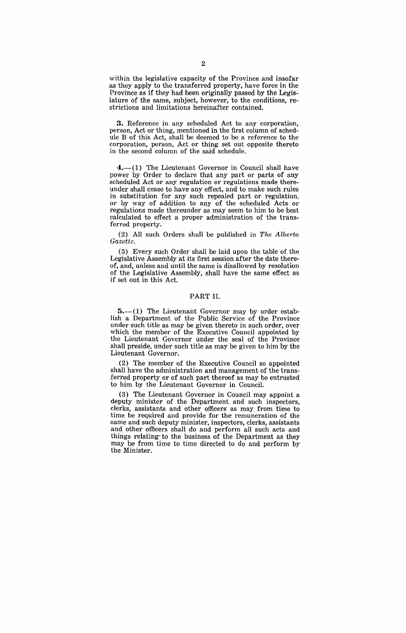within the legislative capacity of the Province and insofar as they apply to the transferred property, have force in the Province as if they had been originally passed by the Legislature of the same, subject, however, to the conditions, restrictions and limitations hereinafter contained.

**3.** Reference in any scheduled Act to any corporation, person, Act or thing, mentioned in the first column of schedule B of this Act, shall be deemed to be a reference to the corporation, person, Act or thing set out opposite thereto in the second column of the said schedule.

 $4,-(1)$  The Lieutenant Governor in Council shall have power by Order to declare that any part or parts of any scheduled Act or any regulation or regulations made thereunder shall cease to have any effect, and to make such rules in substitution for any such repealed part or regulation, or by way of addition to any of the scheduled Acts or regulations made thereunder as may seem to him to be best calculated to effect a proper administration of the transferred property.

(2) All such Orders shall be published in *Tlve Alberta Gazette.* 

 $(3)$  Every such Order shall be laid upon the table of the Legislative Assembly at its first session after the date thereof, and, unless and until the same is disallowed by resolution of the Legislative Assembly, shall have the same effect as if set out in this Act.

#### PART II.

 $5.-(1)$  The Lieutenant Governor may by order establish a Department of the Public Service of the Province under such title as may be given thereto in such order, over which the member of the Executive Council appointed by the Lieutenant Governor under the seal of the Province shall preside, under such title as may be given to him by the Lieutenant Governor.

 $(2)$  The member of the Executive Council so appointed shall have the administration and management of the transferred property or of such part thereof as may be entrusted to him by the Lieutenant Governor in Council.

(3) The Lieutenant Governor in Council may appoint a deputy minister of the Department and such inspectors, clerks, assistants and other officers as may from time to time be required and provide for the remuneration of the same and such deputy minister, inspectors, clerks, assistants and other officers shall do and perform all such acts and things relating to the business of the Department as they may be from time to time directed to do and perform by the Minister.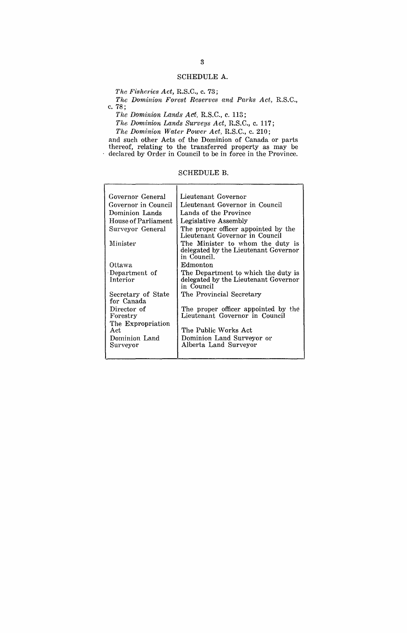### SCHEDULE A.

*The Fisheries Act,* R.S.C., c. 73;

*The Dominion Forest R·eserves and Parks Act,* R.S.C., c.78;

*The Dominion Lands AC't,* R.S.C., c. 113;

*The Dominion Lands Surveys Act,* R.S.C., c. 117;

*The Dominion Water Power Act,* R.S.C., c. 210;

and such other Acts of the Dominion of Canada or parts thereof, relating to the transferred property as may be declared by Order in Council to be in force in the Province.

SCHEDULE B.

| Governor General                 | Lieutenant Governor                                                                       |
|----------------------------------|-------------------------------------------------------------------------------------------|
| Governor in Council              | Lieutenant Governor in Council                                                            |
| Dominion Lands                   | Lands of the Province                                                                     |
| House of Parliament              | Legislative Assembly                                                                      |
| Surveyor General                 | The proper officer appointed by the<br>Lieutenant Governor in Council                     |
| Minister                         | The Minister to whom the duty is<br>delegated by the Lieutenant Governor<br>in Council.   |
| Ottawa                           | Edmonton                                                                                  |
| Department of<br>Interior        | The Department to which the duty is<br>delegated by the Lieutenant Governor<br>in Council |
| Secretary of State<br>for Canada | The Provincial Secretary                                                                  |
| Director of<br>Forestry          | The proper officer appointed by the<br>Lieutenant Governor in Council                     |
| The Expropriation<br>Act         | The Public Works Act                                                                      |
| Dominion Land<br>Surveyor        | Dominion Land Surveyor or<br>Alberta Land Surveyor                                        |
|                                  |                                                                                           |